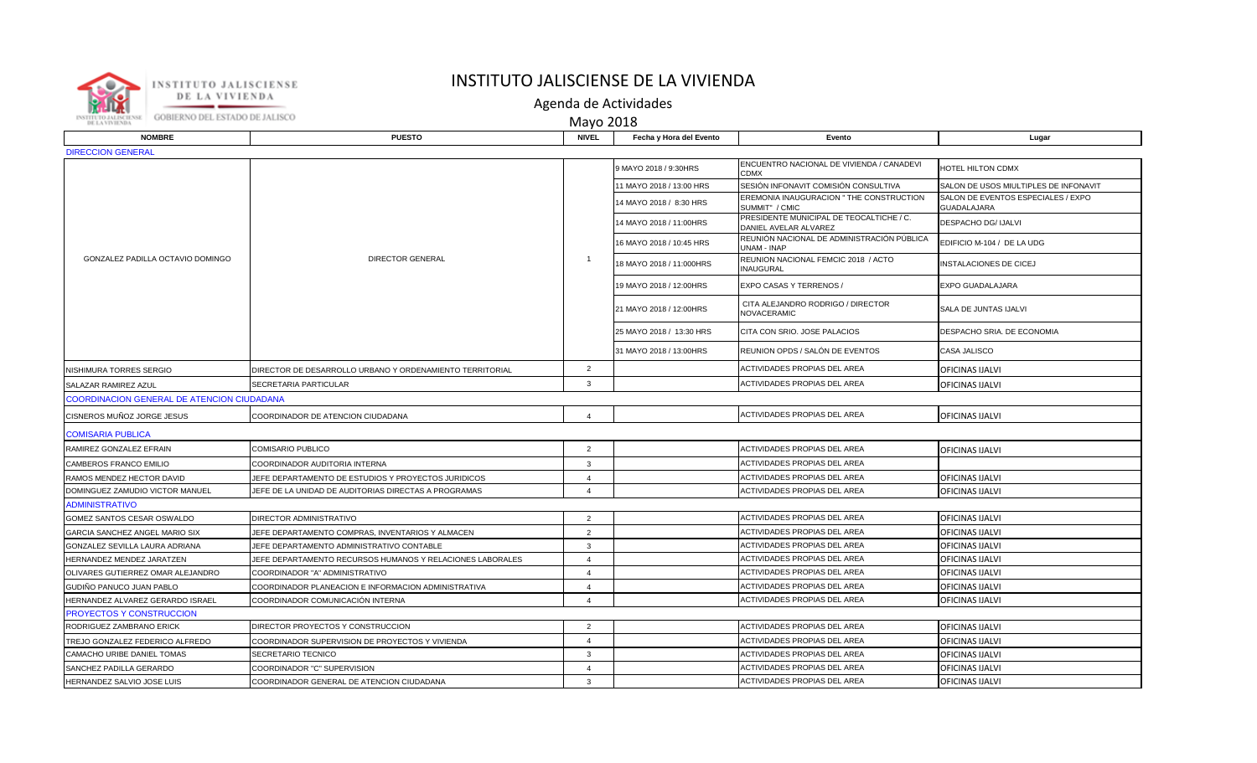

## INSTITUTO JALISCIENSE DE LA VIVIENDA

Agenda de Actividades

Mayo 2018

| <b>NOMBRE</b>                              | <b>PUESTO</b>                                             | <b>NIVEL</b>            | Fecha y Hora del Evento  | Evento                                                            | Lugar                                             |  |  |  |  |
|--------------------------------------------|-----------------------------------------------------------|-------------------------|--------------------------|-------------------------------------------------------------------|---------------------------------------------------|--|--|--|--|
| <b>DIRECCION GENERAL</b>                   |                                                           |                         |                          |                                                                   |                                                   |  |  |  |  |
| GONZALEZ PADILLA OCTAVIO DOMINGO           | <b>DIRECTOR GENERAL</b>                                   |                         | 9 MAYO 2018 / 9:30HRS    | ENCUENTRO NACIONAL DE VIVIENDA / CANADEVI<br>CDMX                 | HOTEL HILTON CDMX                                 |  |  |  |  |
|                                            |                                                           |                         | 11 MAYO 2018 / 13:00 HRS | SESIÓN INFONAVIT COMISIÓN CONSULTIVA                              | SALON DE USOS MIULTIPLES DE INFONAVIT             |  |  |  |  |
|                                            |                                                           |                         | 14 MAYO 2018 / 8:30 HRS  | EREMONIA INAUGURACION " THE CONSTRUCTION<br>SUMMIT" / CMIC        | SALON DE EVENTOS ESPECIALES / EXPO<br>GUADALAJARA |  |  |  |  |
|                                            |                                                           |                         | 14 MAYO 2018 / 11:00HRS  | PRESIDENTE MUNICIPAL DE TEOCALTICHE / C.<br>DANIEL AVELAR ALVAREZ | DESPACHO DG/ IJALVI                               |  |  |  |  |
|                                            |                                                           |                         | 16 MAYO 2018 / 10:45 HRS | REUNIÓN NACIONAL DE ADMINISTRACIÓN PÚBLICA<br>JNAM - INAP         | EDIFICIO M-104 / DE LA UDG                        |  |  |  |  |
|                                            |                                                           | $\overline{1}$          | 18 MAYO 2018 / 11:000HRS | REUNION NACIONAL FEMCIC 2018 / ACTO<br>INAUGURAL                  | INSTALACIONES DE CICEJ                            |  |  |  |  |
|                                            |                                                           |                         | 19 MAYO 2018 / 12:00HRS  | EXPO CASAS Y TERRENOS /                                           | EXPO GUADALAJARA                                  |  |  |  |  |
|                                            |                                                           |                         | 21 MAYO 2018 / 12:00HRS  | CITA ALEJANDRO RODRIGO / DIRECTOR<br>NOVACERAMIC                  | SALA DE JUNTAS IJALVI                             |  |  |  |  |
|                                            |                                                           |                         | 25 MAYO 2018 / 13:30 HRS | CITA CON SRIO. JOSE PALACIOS                                      | DESPACHO SRIA. DE ECONOMIA                        |  |  |  |  |
|                                            |                                                           |                         | 31 MAYO 2018 / 13:00HRS  | REUNION OPDS / SALÓN DE EVENTOS                                   | CASA JALISCO                                      |  |  |  |  |
| NISHIMURA TORRES SERGIO                    | DIRECTOR DE DESARROLLO URBANO Y ORDENAMIENTO TERRITORIAL  | 2                       |                          | ACTIVIDADES PROPIAS DEL AREA                                      | OFICINAS IJALVI                                   |  |  |  |  |
| SALAZAR RAMIREZ AZUL                       | SECRETARIA PARTICULAR                                     | 3                       |                          | ACTIVIDADES PROPIAS DEL AREA                                      | OFICINAS IJALVI                                   |  |  |  |  |
| COORDINACION GENERAL DE ATENCION CIUDADANA |                                                           |                         |                          |                                                                   |                                                   |  |  |  |  |
| CISNEROS MUÑOZ JORGE JESUS                 | COORDINADOR DE ATENCION CIUDADANA                         | $\overline{4}$          |                          | ACTIVIDADES PROPIAS DEL AREA                                      | OFICINAS IJALVI                                   |  |  |  |  |
| <b>COMISARIA PUBLICA</b>                   |                                                           |                         |                          |                                                                   |                                                   |  |  |  |  |
| RAMIREZ GONZALEZ EFRAIN                    | <b>COMISARIO PUBLICO</b>                                  | $\overline{2}$          |                          | ACTIVIDADES PROPIAS DEL AREA                                      | OFICINAS IJALVI                                   |  |  |  |  |
| CAMBEROS FRANCO EMILIO                     | COORDINADOR AUDITORIA INTERNA                             | 3                       |                          | ACTIVIDADES PROPIAS DEL AREA                                      |                                                   |  |  |  |  |
| RAMOS MENDEZ HECTOR DAVID                  | JEFE DEPARTAMENTO DE ESTUDIOS Y PROYECTOS JURIDICOS       | $\overline{\mathbf{4}}$ |                          | ACTIVIDADES PROPIAS DEL AREA                                      | <b>OFICINAS IJALVI</b>                            |  |  |  |  |
| DOMINGUEZ ZAMUDIO VICTOR MANUEL            | JEFE DE LA UNIDAD DE AUDITORIAS DIRECTAS A PROGRAMAS      | $\overline{4}$          |                          | <b>ACTIVIDADES PROPIAS DEL AREA</b>                               | <b>OFICINAS IJALVI</b>                            |  |  |  |  |
| <b>ADMINISTRATIVO</b>                      |                                                           |                         |                          |                                                                   |                                                   |  |  |  |  |
| GOMEZ SANTOS CESAR OSWALDO                 | <b>DIRECTOR ADMINISTRATIVO</b>                            | 2                       |                          | ACTIVIDADES PROPIAS DEL AREA                                      | OFICINAS IJALVI                                   |  |  |  |  |
| GARCIA SANCHEZ ANGEL MARIO SIX             | JEFE DEPARTAMENTO COMPRAS, INVENTARIOS Y ALMACEN          | $\overline{2}$          |                          | ACTIVIDADES PROPIAS DEL AREA                                      | OFICINAS IJALVI                                   |  |  |  |  |
| GONZALEZ SEVILLA LAURA ADRIANA             | JEFE DEPARTAMENTO ADMINISTRATIVO CONTABLE                 | 3                       |                          | ACTIVIDADES PROPIAS DEL AREA                                      | <b>OFICINAS IJALVI</b>                            |  |  |  |  |
| HERNANDEZ MENDEZ JARATZEN                  | JEFE DEPARTAMENTO RECURSOS HUMANOS Y RELACIONES LABORALES | $\overline{4}$          |                          | <b>ACTIVIDADES PROPIAS DEL AREA</b>                               | OFICINAS IJALVI                                   |  |  |  |  |
| OLIVARES GUTIERREZ OMAR ALEJANDRO          | COORDINADOR "A" ADMINISTRATIVO                            | $\overline{4}$          |                          | <b>ACTIVIDADES PROPIAS DEL AREA</b>                               | OFICINAS IJALVI                                   |  |  |  |  |
| GUDIÑO PANUCO JUAN PABLO                   | COORDINADOR PLANEACION E INFORMACION ADMINISTRATIVA       | $\overline{4}$          |                          | ACTIVIDADES PROPIAS DEL AREA                                      | <b>OFICINAS IJALVI</b>                            |  |  |  |  |
| HERNANDEZ ALVAREZ GERARDO ISRAEL           | COORDINADOR COMUNICACIÓN INTERNA                          | $\overline{\mathbf{4}}$ |                          | <b>ACTIVIDADES PROPIAS DEL AREA</b>                               | OFICINAS IJALVI                                   |  |  |  |  |
| PROYECTOS Y CONSTRUCCION                   |                                                           |                         |                          |                                                                   |                                                   |  |  |  |  |
| RODRIGUEZ ZAMBRANO ERICK                   | DIRECTOR PROYECTOS Y CONSTRUCCION                         | 2                       |                          | <b>ACTIVIDADES PROPIAS DEL AREA</b>                               | <b>OFICINAS IJALVI</b>                            |  |  |  |  |
| TREJO GONZALEZ FEDERICO ALFREDO            | COORDINADOR SUPERVISION DE PROYECTOS Y VIVIENDA           | $\overline{4}$          |                          | <b>ACTIVIDADES PROPIAS DEL AREA</b>                               | OFICINAS IJALVI                                   |  |  |  |  |
| CAMACHO URIBE DANIEL TOMAS                 | SECRETARIO TECNICO                                        | 3                       |                          | <b>ACTIVIDADES PROPIAS DEL AREA</b>                               | OFICINAS IJALVI                                   |  |  |  |  |
| SANCHEZ PADILLA GERARDO                    | COORDINADOR "C" SUPERVISION                               | $\overline{4}$          |                          | <b>ACTIVIDADES PROPIAS DEL AREA</b>                               | OFICINAS IJALVI                                   |  |  |  |  |
| HERNANDEZ SALVIO JOSE LUIS                 | COORDINADOR GENERAL DE ATENCION CIUDADANA                 | 3                       |                          | ACTIVIDADES PROPIAS DEL AREA                                      | OFICINAS IJALVI                                   |  |  |  |  |